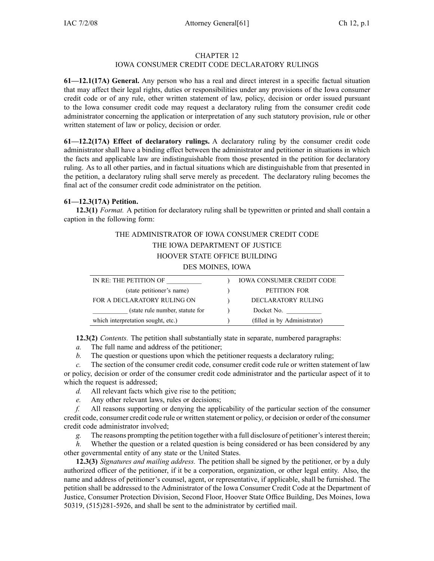### CHAPTER 12

## IOWA CONSUMER CREDIT CODE DECLARATORY RULINGS

**61—12.1(17A) General.** Any person who has <sup>a</sup> real and direct interest in <sup>a</sup> specific factual situation that may affect their legal rights, duties or responsibilities under any provisions of the Iowa consumer credit code or of any rule, other written statement of law, policy, decision or order issued pursuan<sup>t</sup> to the Iowa consumer credit code may reques<sup>t</sup> <sup>a</sup> declaratory ruling from the consumer credit code administrator concerning the application or interpretation of any such statutory provision, rule or other written statement of law or policy, decision or order.

**61—12.2(17A) Effect of declaratory rulings.** A declaratory ruling by the consumer credit code administrator shall have <sup>a</sup> binding effect between the administrator and petitioner in situations in which the facts and applicable law are indistinguishable from those presented in the petition for declaratory ruling. As to all other parties, and in factual situations which are distinguishable from that presented in the petition, <sup>a</sup> declaratory ruling shall serve merely as precedent. The declaratory ruling becomes the final act of the consumer credit code administrator on the petition.

### **61—12.3(17A) Petition.**

**12.3(1)** *Format.* A petition for declaratory ruling shall be typewritten or printed and shall contain <sup>a</sup> caption in the following form:

# THE ADMINISTRATOR OF IOWA CONSUMER CREDIT CODE THE IOWA DEPARTMENT OF JUSTICE HOOVER STATE OFFICE BUILDING DES MOINES, IOWA

| IN RE: THE PETITION OF             | <b>IOWA CONSUMER CREDIT CODE</b> |
|------------------------------------|----------------------------------|
| (state petitioner's name)          | PETITION FOR                     |
| FOR A DECLARATORY RULING ON        | DECLARATORY RULING               |
| (state rule number, statute for    | Docket No.                       |
| which interpretation sought, etc.) | (filled in by Administrator)     |

**12.3(2)** *Contents.* The petition shall substantially state in separate, numbered paragraphs:

*a.* The full name and address of the petitioner;

*b.* The question or questions upon which the petitioner requests a declaratory ruling;

*c.* The section of the consumer credit code, consumer credit code rule or written statement of law or policy, decision or order of the consumer credit code administrator and the particular aspec<sup>t</sup> of it to which the reques<sup>t</sup> is addressed;

*d.* All relevant facts which give rise to the petition;

*e.* Any other relevant laws, rules or decisions;

*f.* All reasons supporting or denying the applicability of the particular section of the consumer credit code, consumer credit code rule or written statement or policy, or decision or order of the consumer credit code administrator involved;

*g.* The reasons prompting the petition together with <sup>a</sup> full disclosure of petitioner'sinterest therein;

*h.* Whether the question or a related question is being considered or has been considered by any other governmental entity of any state or the United States.

**12.3(3)** *Signatures and mailing address.* The petition shall be signed by the petitioner, or by <sup>a</sup> duly authorized officer of the petitioner, if it be <sup>a</sup> corporation, organization, or other legal entity. Also, the name and address of petitioner's counsel, agent, or representative, if applicable, shall be furnished. The petition shall be addressed to the Administrator of the Iowa Consumer Credit Code at the Department of Justice, Consumer Protection Division, Second Floor, Hoover State Office Building, Des Moines, Iowa 50319, (515)281-5926, and shall be sent to the administrator by certified mail.